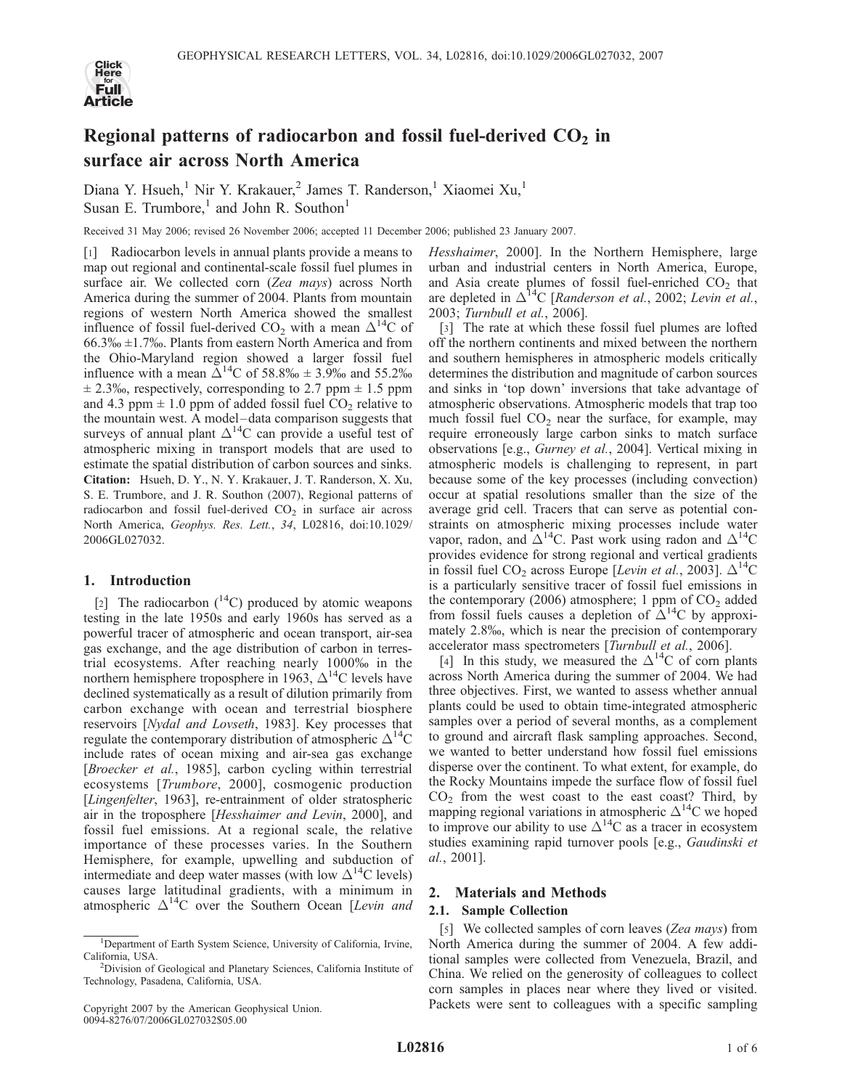

# Regional patterns of radiocarbon and fossil fuel-derived  $CO<sub>2</sub>$  in surface air across North America

Diana Y. Hsueh,<sup>1</sup> Nir Y. Krakauer,<sup>2</sup> James T. Randerson,<sup>1</sup> Xiaomei Xu,<sup>1</sup> Susan E. Trumbore,<sup>1</sup> and John R. Southon<sup>1</sup>

Received 31 May 2006; revised 26 November 2006; accepted 11 December 2006; published 23 January 2007.

[1] Radiocarbon levels in annual plants provide a means to map out regional and continental-scale fossil fuel plumes in surface air. We collected corn (Zea mays) across North America during the summer of 2004. Plants from mountain regions of western North America showed the smallest influence of fossil fuel-derived CO<sub>2</sub> with a mean  $\Delta^{14}$ C of  $66.3\% \pm 1.7\%$ . Plants from eastern North America and from the Ohio-Maryland region showed a larger fossil fuel influence with a mean  $\Delta^{14}$ C of 58.8%  $\pm$  3.9% and 55.2%  $\pm$  2.3‰, respectively, corresponding to 2.7 ppm  $\pm$  1.5 ppm and 4.3 ppm  $\pm$  1.0 ppm of added fossil fuel CO<sub>2</sub> relative to the mountain west. A model – data comparison suggests that surveys of annual plant  $\Delta^{14}C$  can provide a useful test of atmospheric mixing in transport models that are used to estimate the spatial distribution of carbon sources and sinks. Citation: Hsueh, D. Y., N. Y. Krakauer, J. T. Randerson, X. Xu, S. E. Trumbore, and J. R. Southon (2007), Regional patterns of radiocarbon and fossil fuel-derived  $CO<sub>2</sub>$  in surface air across North America, Geophys. Res. Lett., 34, L02816, doi:10.1029/ 2006GL027032.

## 1. Introduction

[2] The radiocarbon  $(^{14}C)$  produced by atomic weapons testing in the late 1950s and early 1960s has served as a powerful tracer of atmospheric and ocean transport, air-sea gas exchange, and the age distribution of carbon in terrestrial ecosystems. After reaching nearly 1000% in the northern hemisphere troposphere in 1963,  $\Delta^{14}$ C levels have declined systematically as a result of dilution primarily from carbon exchange with ocean and terrestrial biosphere reservoirs [Nydal and Lovseth, 1983]. Key processes that regulate the contemporary distribution of atmospheric  $\Delta^{14}C$ include rates of ocean mixing and air-sea gas exchange [Broecker et al., 1985], carbon cycling within terrestrial ecosystems [Trumbore, 2000], cosmogenic production [Lingenfelter, 1963], re-entrainment of older stratospheric air in the troposphere [Hesshaimer and Levin, 2000], and fossil fuel emissions. At a regional scale, the relative importance of these processes varies. In the Southern Hemisphere, for example, upwelling and subduction of intermediate and deep water masses (with low  $\Delta^{14}$ C levels) causes large latitudinal gradients, with a minimum in atmospheric  $\Delta^{14}$ C over the Southern Ocean [Levin and Hesshaimer, 2000]. In the Northern Hemisphere, large urban and industrial centers in North America, Europe, and Asia create plumes of fossil fuel-enriched  $CO<sub>2</sub>$  that are depleted in  $\Delta^{14}C$  [Randerson et al., 2002; Levin et al., 2003; Turnbull et al., 2006].

[3] The rate at which these fossil fuel plumes are lofted off the northern continents and mixed between the northern and southern hemispheres in atmospheric models critically determines the distribution and magnitude of carbon sources and sinks in 'top down' inversions that take advantage of atmospheric observations. Atmospheric models that trap too much fossil fuel  $CO<sub>2</sub>$  near the surface, for example, may require erroneously large carbon sinks to match surface observations [e.g., Gurney et al., 2004]. Vertical mixing in atmospheric models is challenging to represent, in part because some of the key processes (including convection) occur at spatial resolutions smaller than the size of the average grid cell. Tracers that can serve as potential constraints on atmospheric mixing processes include water vapor, radon, and  $\Delta^{14}$ C. Past work using radon and  $\Delta^{14}$ C provides evidence for strong regional and vertical gradients in fossil fuel CO<sub>2</sub> across Europe [Levin et al., 2003].  $\Delta^{14}$ C is a particularly sensitive tracer of fossil fuel emissions in the contemporary (2006) atmosphere; 1 ppm of  $CO<sub>2</sub>$  added from fossil fuels causes a depletion of  $\Delta^{14}$ C by approximately 2.8%, which is near the precision of contemporary accelerator mass spectrometers [Turnbull et al., 2006].

[4] In this study, we measured the  $\Delta^{14}C$  of corn plants across North America during the summer of 2004. We had three objectives. First, we wanted to assess whether annual plants could be used to obtain time-integrated atmospheric samples over a period of several months, as a complement to ground and aircraft flask sampling approaches. Second, we wanted to better understand how fossil fuel emissions disperse over the continent. To what extent, for example, do the Rocky Mountains impede the surface flow of fossil fuel  $CO<sub>2</sub>$  from the west coast to the east coast? Third, by mapping regional variations in atmospheric  $\Delta^{14}$ C we hoped to improve our ability to use  $\Delta^{14}$ C as a tracer in ecosystem studies examining rapid turnover pools [e.g., Gaudinski et al., 2001].

## 2. Materials and Methods

#### 2.1. Sample Collection

[5] We collected samples of corn leaves (Zea mays) from North America during the summer of 2004. A few additional samples were collected from Venezuela, Brazil, and China. We relied on the generosity of colleagues to collect corn samples in places near where they lived or visited. Packets were sent to colleagues with a specific sampling

<sup>&</sup>lt;sup>1</sup>Department of Earth System Science, University of California, Irvine, California, USA. <sup>2</sup>

<sup>&</sup>lt;sup>2</sup>Division of Geological and Planetary Sciences, California Institute of Technology, Pasadena, California, USA.

Copyright 2007 by the American Geophysical Union. 0094-8276/07/2006GL027032\$05.00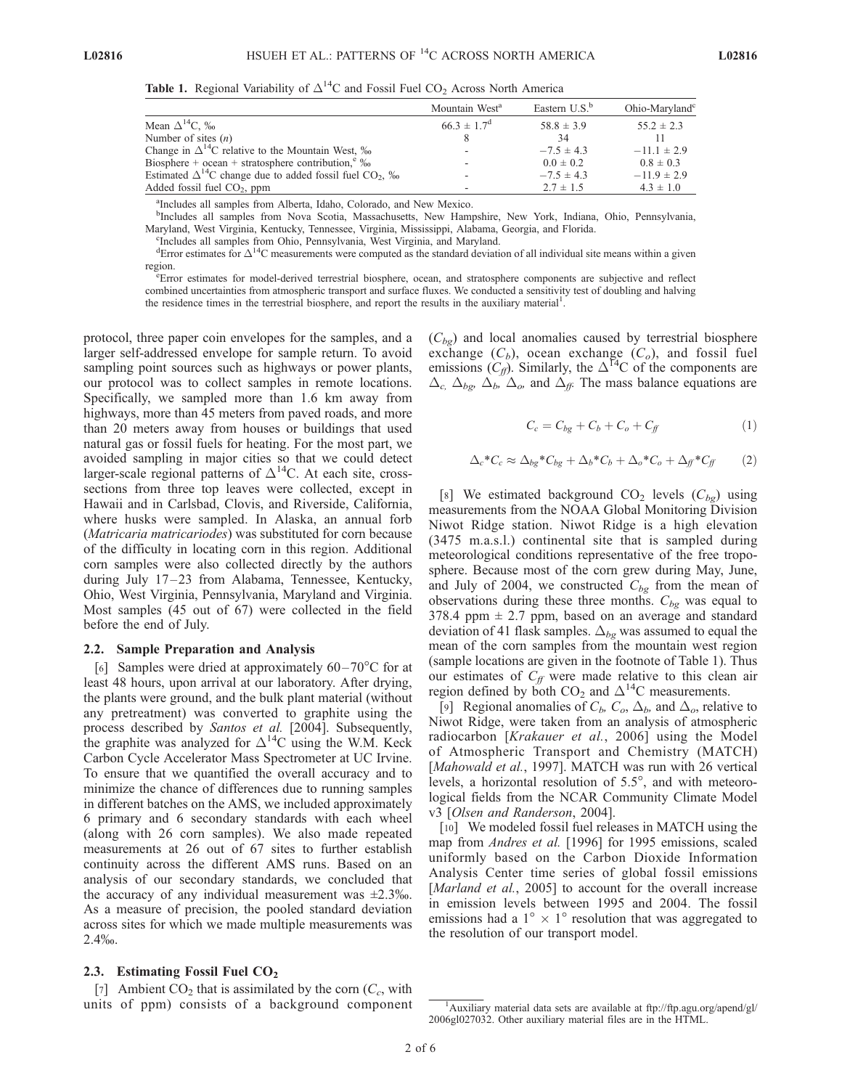Table 1. Regional Variability of  $\Delta^{14}C$  and Fossil Fuel CO<sub>2</sub> Across North America

|                                                                               | Mountain West <sup>a</sup>  | Eastern $U.S.^b$ | Ohio-Maryland <sup>c</sup> |
|-------------------------------------------------------------------------------|-----------------------------|------------------|----------------------------|
| Mean $\Delta^{14}$ C, ‰                                                       | $66.3 \pm 1.7$ <sup>d</sup> | $58.8 \pm 3.9$   | $55.2 \pm 2.3$             |
| Number of sites $(n)$                                                         |                             | 34               |                            |
| Change in $\Delta^{14}$ C relative to the Mountain West, $\%$                 | ۰                           | $-7.5 \pm 4.3$   | $-11.1 \pm 2.9$            |
| Biosphere + ocean + stratosphere contribution, $\%$                           |                             | $0.0 \pm 0.2$    | $0.8 \pm 0.3$              |
| Estimated $\Delta^{14}$ C change due to added fossil fuel CO <sub>2</sub> , ‰ | ۰                           | $-7.5 \pm 4.3$   | $-11.9 \pm 2.9$            |
| Added fossil fuel $CO2$ , ppm                                                 |                             | $2.7 \pm 1.5$    | $4.3 \pm 1.0$              |

a Includes all samples from Alberta, Idaho, Colorado, and New Mexico.

b Includes all samples from Nova Scotia, Massachusetts, New Hampshire, New York, Indiana, Ohio, Pennsylvania, Maryland, West Virginia, Kentucky, Tennessee, Virginia, Mississippi, Alabama, Georgia, and Florida. <sup>c</sup>

<sup>c</sup>Includes all samples from Ohio, Pennsylvania, West Virginia, and Maryland.

 ${}^{d}$ Error estimates for  $\Delta^{14}$ C measurements were computed as the standard deviation of all individual site means within a given region.

Error estimates for model-derived terrestrial biosphere, ocean, and stratosphere components are subjective and reflect combined uncertainties from atmospheric transport and surface fluxes. We conducted a sensitivity test of doubling and halving the residence times in the terrestrial biosphere, and report the results in the auxiliary material<sup>1</sup>.

protocol, three paper coin envelopes for the samples, and a larger self-addressed envelope for sample return. To avoid sampling point sources such as highways or power plants, our protocol was to collect samples in remote locations. Specifically, we sampled more than 1.6 km away from highways, more than 45 meters from paved roads, and more than 20 meters away from houses or buildings that used natural gas or fossil fuels for heating. For the most part, we avoided sampling in major cities so that we could detect larger-scale regional patterns of  $\Delta^{14}$ C. At each site, crosssections from three top leaves were collected, except in Hawaii and in Carlsbad, Clovis, and Riverside, California, where husks were sampled. In Alaska, an annual forb (Matricaria matricariodes) was substituted for corn because of the difficulty in locating corn in this region. Additional corn samples were also collected directly by the authors during July 17-23 from Alabama, Tennessee, Kentucky, Ohio, West Virginia, Pennsylvania, Maryland and Virginia. Most samples (45 out of 67) were collected in the field before the end of July.

### 2.2. Sample Preparation and Analysis

[6] Samples were dried at approximately  $60-70^{\circ}$ C for at least 48 hours, upon arrival at our laboratory. After drying, the plants were ground, and the bulk plant material (without any pretreatment) was converted to graphite using the process described by Santos et al. [2004]. Subsequently, the graphite was analyzed for  $\Delta^{14}$ C using the W.M. Keck Carbon Cycle Accelerator Mass Spectrometer at UC Irvine. To ensure that we quantified the overall accuracy and to minimize the chance of differences due to running samples in different batches on the AMS, we included approximately 6 primary and 6 secondary standards with each wheel (along with 26 corn samples). We also made repeated measurements at 26 out of 67 sites to further establish continuity across the different AMS runs. Based on an analysis of our secondary standards, we concluded that the accuracy of any individual measurement was  $\pm 2.3\%$ . As a measure of precision, the pooled standard deviation across sites for which we made multiple measurements was  $2.4\%$ .

#### 2.3. Estimating Fossil Fuel  $CO<sub>2</sub>$

[7] Ambient  $CO<sub>2</sub>$  that is assimilated by the corn  $(C<sub>c</sub>$ , with units of ppm) consists of a background component

 $(C_{bg})$  and local anomalies caused by terrestrial biosphere exchange  $(C_b)$ , ocean exchange  $(C_o)$ , and fossil fuel emissions  $(C_f)$ . Similarly, the  $\Delta^{14}C$  of the components are  $\Delta_{c}$ ,  $\Delta_{bg}$ ,  $\Delta_{b}$ ,  $\Delta_{o}$ , and  $\Delta_{ff}$ . The mass balance equations are

$$
C_c = C_{bg} + C_b + C_o + C_{ff} \tag{1}
$$

$$
\Delta_c * C_c \approx \Delta_{bg} * C_{bg} + \Delta_b * C_b + \Delta_o * C_o + \Delta_f * C_f \tag{2}
$$

[8] We estimated background  $CO_2$  levels  $(C_{bg})$  using measurements from the NOAA Global Monitoring Division Niwot Ridge station. Niwot Ridge is a high elevation (3475 m.a.s.l.) continental site that is sampled during meteorological conditions representative of the free troposphere. Because most of the corn grew during May, June, and July of 2004, we constructed  $C_{bg}$  from the mean of observations during these three months.  $C_{bg}$  was equal to 378.4 ppm  $\pm$  2.7 ppm, based on an average and standard deviation of 41 flask samples.  $\Delta_{bg}$  was assumed to equal the mean of the corn samples from the mountain west region (sample locations are given in the footnote of Table 1). Thus our estimates of  $C_f$  were made relative to this clean air region defined by both  $CO_2$  and  $\Delta^{14}$ C measurements.

[9] Regional anomalies of  $C_b$ ,  $C_o$ ,  $\Delta_b$ , and  $\Delta_o$ , relative to Niwot Ridge, were taken from an analysis of atmospheric radiocarbon [Krakauer et al., 2006] using the Model of Atmospheric Transport and Chemistry (MATCH) [Mahowald et al., 1997]. MATCH was run with 26 vertical levels, a horizontal resolution of  $5.5^{\circ}$ , and with meteorological fields from the NCAR Community Climate Model v3 [Olsen and Randerson, 2004].

[10] We modeled fossil fuel releases in MATCH using the map from Andres et al. [1996] for 1995 emissions, scaled uniformly based on the Carbon Dioxide Information Analysis Center time series of global fossil emissions [*Marland et al.*, 2005] to account for the overall increase in emission levels between 1995 and 2004. The fossil emissions had a  $1^{\circ} \times 1^{\circ}$  resolution that was aggregated to the resolution of our transport model.

<sup>&</sup>lt;sup>1</sup>Auxiliary material data sets are available at ftp://ftp.agu.org/apend/gl/ 2006gl027032. Other auxiliary material files are in the HTML.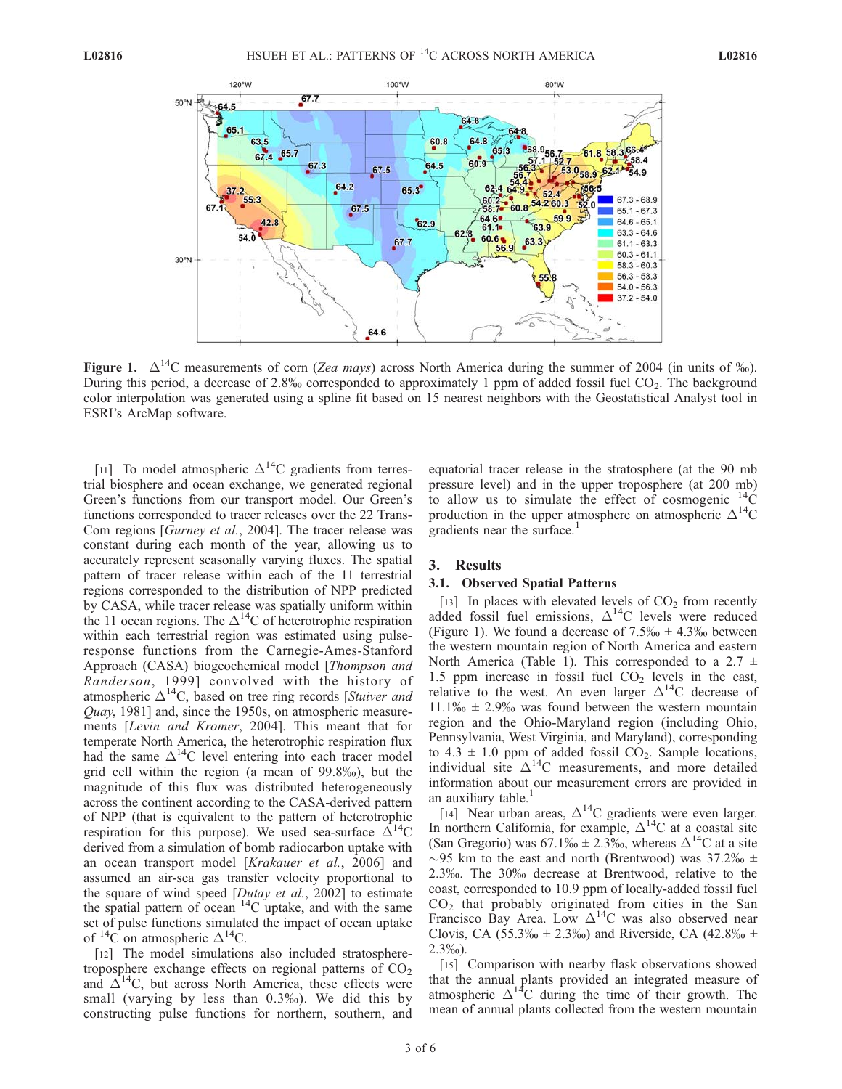

Figure 1.  $\Delta^{14}$ C measurements of corn (Zea mays) across North America during the summer of 2004 (in units of ‰). During this period, a decrease of 2.8% corresponded to approximately 1 ppm of added fossil fuel  $CO<sub>2</sub>$ . The background color interpolation was generated using a spline fit based on 15 nearest neighbors with the Geostatistical Analyst tool in ESRI's ArcMap software.

[11] To model atmospheric  $\Delta^{14}$ C gradients from terrestrial biosphere and ocean exchange, we generated regional Green's functions from our transport model. Our Green's functions corresponded to tracer releases over the 22 Trans-Com regions [Gurney et al., 2004]. The tracer release was constant during each month of the year, allowing us to accurately represent seasonally varying fluxes. The spatial pattern of tracer release within each of the 11 terrestrial regions corresponded to the distribution of NPP predicted by CASA, while tracer release was spatially uniform within the 11 ocean regions. The  $\Delta^{14}$ C of heterotrophic respiration within each terrestrial region was estimated using pulseresponse functions from the Carnegie-Ames-Stanford Approach (CASA) biogeochemical model [Thompson and Randerson, 1999] convolved with the history of atmospheric  $\Delta^{14}$ C, based on tree ring records [Stuiver and Quay, 1981] and, since the 1950s, on atmospheric measurements [Levin and Kromer, 2004]. This meant that for temperate North America, the heterotrophic respiration flux had the same  $\Delta^{14}C$  level entering into each tracer model grid cell within the region (a mean of 99.8%), but the magnitude of this flux was distributed heterogeneously across the continent according to the CASA-derived pattern of NPP (that is equivalent to the pattern of heterotrophic respiration for this purpose). We used sea-surface  $\Delta^{14}C$ derived from a simulation of bomb radiocarbon uptake with an ocean transport model [Krakauer et al., 2006] and assumed an air-sea gas transfer velocity proportional to the square of wind speed [Dutay et al., 2002] to estimate the spatial pattern of ocean  $14C$  uptake, and with the same set of pulse functions simulated the impact of ocean uptake of  ${}^{14}C$  on atmospheric  $\Delta {}^{14}C$ .

[12] The model simulations also included stratospheretroposphere exchange effects on regional patterns of  $CO<sub>2</sub>$ and  $\Delta^{14}$ C, but across North America, these effects were small (varying by less than 0.3%). We did this by constructing pulse functions for northern, southern, and

equatorial tracer release in the stratosphere (at the 90 mb pressure level) and in the upper troposphere (at 200 mb) to allow us to simulate the effect of cosmogenic  $^{14}$ C production in the upper atmosphere on atmospheric  $\Delta^{14}C$ gradients near the surface.<sup>1</sup>

#### 3. Results

#### 3.1. Observed Spatial Patterns

[13] In places with elevated levels of  $CO<sub>2</sub>$  from recently added fossil fuel emissions,  $\Delta^{14}$ C levels were reduced (Figure 1). We found a decrease of  $7.5\% \div 4.3\%$  between the western mountain region of North America and eastern North America (Table 1). This corresponded to a 2.7  $\pm$ 1.5 ppm increase in fossil fuel  $CO<sub>2</sub>$  levels in the east, relative to the west. An even larger  $\Delta^{14}$ C decrease of  $11.1\% \pm 2.9\%$  was found between the western mountain region and the Ohio-Maryland region (including Ohio, Pennsylvania, West Virginia, and Maryland), corresponding to  $4.3 \pm 1.0$  ppm of added fossil CO<sub>2</sub>. Sample locations, individual site  $\Delta^{14}$ C measurements, and more detailed information about our measurement errors are provided in an auxiliary table.<sup>1</sup>

[14] Near urban areas,  $\Delta^{14}C$  gradients were even larger. In northern California, for example,  $\Delta^{14}$ C at a coastal site (San Gregorio) was  $67.1\% \text{ m} \pm 2.3\%$ , whereas  $\Delta^{14}$ C at a site  $\sim$ 95 km to the east and north (Brentwood) was 37.2‰  $\pm$ 2.3%. The 30% decrease at Brentwood, relative to the coast, corresponded to 10.9 ppm of locally-added fossil fuel  $CO<sub>2</sub>$  that probably originated from cities in the San Francisco Bay Area. Low  $\Delta^{14}C$  was also observed near Clovis, CA (55.3\%  $\pm$  2.3\% and Riverside, CA (42.8\%  $\pm$ 2.3%).

[15] Comparison with nearby flask observations showed that the annual plants provided an integrated measure of atmospheric  $\Delta^{14}C$  during the time of their growth. The mean of annual plants collected from the western mountain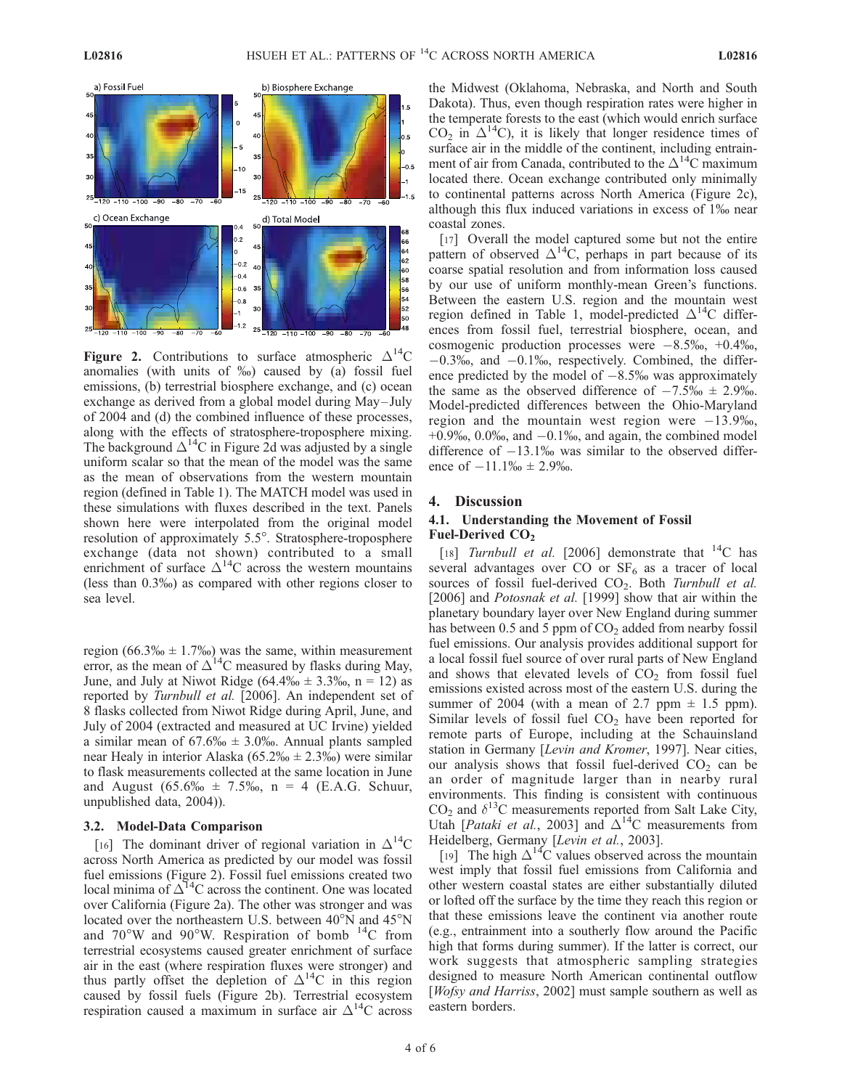

Figure 2. Contributions to surface atmospheric  $\Delta^{14}C$ anomalies (with units of  $\%$ ) caused by (a) fossil fuel emissions, (b) terrestrial biosphere exchange, and (c) ocean exchange as derived from a global model during May–July of 2004 and (d) the combined influence of these processes, along with the effects of stratosphere-troposphere mixing. The background  $\Delta^{14}$ C in Figure 2d was adjusted by a single uniform scalar so that the mean of the model was the same as the mean of observations from the western mountain region (defined in Table 1). The MATCH model was used in these simulations with fluxes described in the text. Panels shown here were interpolated from the original model resolution of approximately 5.5°. Stratosphere-troposphere exchange (data not shown) contributed to a small enrichment of surface  $\Delta^{14}$ C across the western mountains (less than 0.3%) as compared with other regions closer to sea level.

region (66.3%  $\pm$  1.7%) was the same, within measurement error, as the mean of  $\Delta^{14}$ C measured by flasks during May, June, and July at Niwot Ridge (64.4\%  $\pm$  3.3\%, n = 12) as reported by Turnbull et al. [2006]. An independent set of 8 flasks collected from Niwot Ridge during April, June, and July of 2004 (extracted and measured at UC Irvine) yielded a similar mean of  $67.6\%$   $\pm$  3.0‰. Annual plants sampled near Healy in interior Alaska ( $65.2\% \pm 2.3\%$ ) were similar to flask measurements collected at the same location in June and August  $(65.6\% \text{ m} \pm 7.5\% \text{ m}) = 4$  (E.A.G. Schuur, unpublished data, 2004)).

#### 3.2. Model-Data Comparison

[16] The dominant driver of regional variation in  $\Delta^{14}C$ across North America as predicted by our model was fossil fuel emissions (Figure 2). Fossil fuel emissions created two local minima of  $\Delta^{14}$ C across the continent. One was located over California (Figure 2a). The other was stronger and was located over the northeastern U.S. between  $40^{\circ}$ N and  $45^{\circ}$ N and  $70^{\circ}$ W and  $90^{\circ}$ W. Respiration of bomb  $^{14}$ C from terrestrial ecosystems caused greater enrichment of surface air in the east (where respiration fluxes were stronger) and thus partly offset the depletion of  $\Delta^{14}C$  in this region caused by fossil fuels (Figure 2b). Terrestrial ecosystem respiration caused a maximum in surface air  $\Delta^{14}$ C across

the Midwest (Oklahoma, Nebraska, and North and South Dakota). Thus, even though respiration rates were higher in the temperate forests to the east (which would enrich surface  $CO<sub>2</sub>$  in  $\Delta^{14}$ C), it is likely that longer residence times of surface air in the middle of the continent, including entrainment of air from Canada, contributed to the  $\Delta^{14}$ C maximum located there. Ocean exchange contributed only minimally to continental patterns across North America (Figure 2c), although this flux induced variations in excess of  $1\%$  near coastal zones.

[17] Overall the model captured some but not the entire pattern of observed  $\Delta^{14}$ C, perhaps in part because of its coarse spatial resolution and from information loss caused by our use of uniform monthly-mean Green's functions. Between the eastern U.S. region and the mountain west region defined in Table 1, model-predicted  $\Delta^{14}$ C differences from fossil fuel, terrestrial biosphere, ocean, and cosmogenic production processes were  $-8.5\%$ ,  $+0.4\%$ ,  $-0.3\%$ , and  $-0.1\%$ , respectively. Combined, the difference predicted by the model of  $-8.5\%$  was approximately the same as the observed difference of  $-7.5\%$   $\pm$  2.9%. Model-predicted differences between the Ohio-Maryland region and the mountain west region were  $-13.9\%$ .  $+0.9\%$ , 0.0%, and  $-0.1\%$ , and again, the combined model difference of  $-13.1\%$  was similar to the observed difference of  $-11.1\%$   $\pm$  2.9%.

# 4. Discussion

# 4.1. Understanding the Movement of Fossil Fuel-Derived CO<sub>2</sub>

[18] Turnbull et al. [2006] demonstrate that  $^{14}$ C has several advantages over  $CO$  or  $SF<sub>6</sub>$  as a tracer of local sources of fossil fuel-derived  $CO<sub>2</sub>$ . Both Turnbull et al. [2006] and *Potosnak et al.* [1999] show that air within the planetary boundary layer over New England during summer has between  $0.5$  and  $5$  ppm of  $CO<sub>2</sub>$  added from nearby fossil fuel emissions. Our analysis provides additional support for a local fossil fuel source of over rural parts of New England and shows that elevated levels of  $CO<sub>2</sub>$  from fossil fuel emissions existed across most of the eastern U.S. during the summer of 2004 (with a mean of 2.7 ppm  $\pm$  1.5 ppm). Similar levels of fossil fuel  $CO<sub>2</sub>$  have been reported for remote parts of Europe, including at the Schauinsland station in Germany [Levin and Kromer, 1997]. Near cities, our analysis shows that fossil fuel-derived  $CO<sub>2</sub>$  can be an order of magnitude larger than in nearby rural environments. This finding is consistent with continuous  $CO<sub>2</sub>$  and  $\delta^{13}$ C measurements reported from Salt Lake City, Utah [*Pataki et al.*, 2003] and  $\Delta^{14}$ C measurements from Heidelberg, Germany [Levin et al., 2003].

[19] The high  $\Delta^{14}$ C values observed across the mountain west imply that fossil fuel emissions from California and other western coastal states are either substantially diluted or lofted off the surface by the time they reach this region or that these emissions leave the continent via another route (e.g., entrainment into a southerly flow around the Pacific high that forms during summer). If the latter is correct, our work suggests that atmospheric sampling strategies designed to measure North American continental outflow [*Wofsy and Harriss*, 2002] must sample southern as well as eastern borders.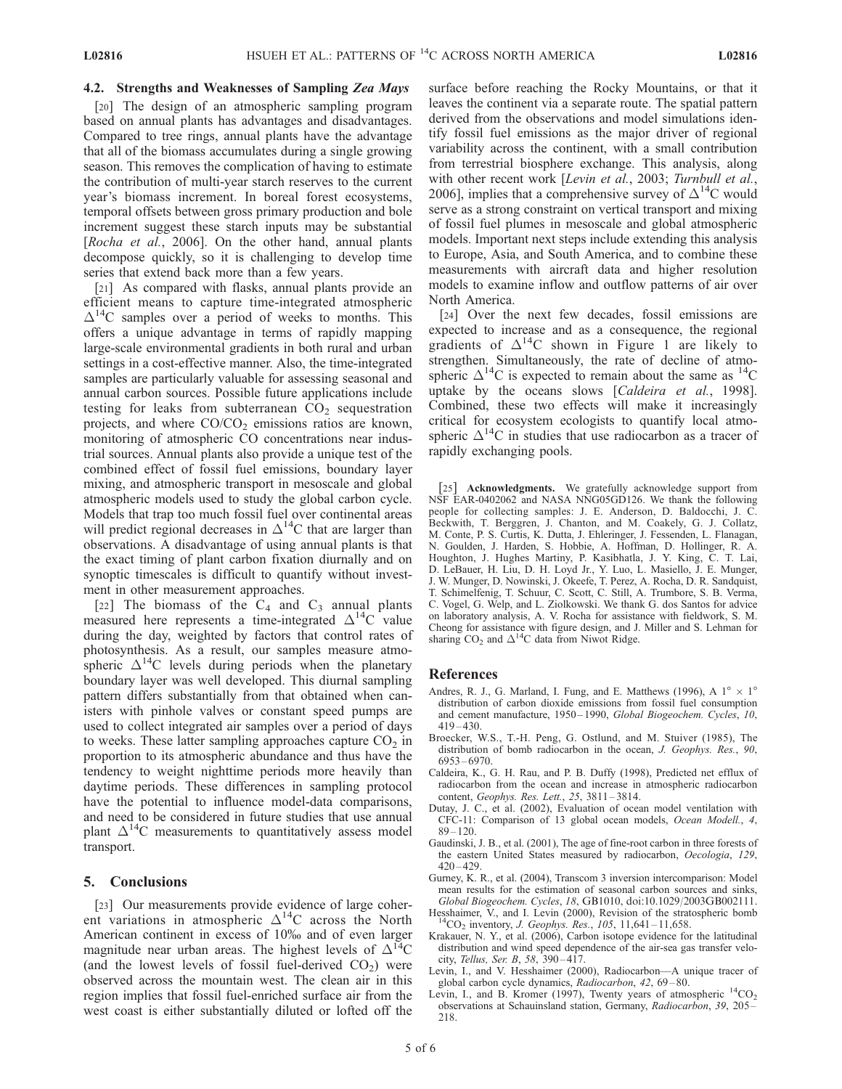# 4.2. Strengths and Weaknesses of Sampling Zea Mays

[20] The design of an atmospheric sampling program based on annual plants has advantages and disadvantages. Compared to tree rings, annual plants have the advantage that all of the biomass accumulates during a single growing season. This removes the complication of having to estimate the contribution of multi-year starch reserves to the current year's biomass increment. In boreal forest ecosystems, temporal offsets between gross primary production and bole increment suggest these starch inputs may be substantial [Rocha et al., 2006]. On the other hand, annual plants decompose quickly, so it is challenging to develop time series that extend back more than a few years.

[21] As compared with flasks, annual plants provide an efficient means to capture time-integrated atmospheric  $\Delta^{14}$ C samples over a period of weeks to months. This offers a unique advantage in terms of rapidly mapping large-scale environmental gradients in both rural and urban settings in a cost-effective manner. Also, the time-integrated samples are particularly valuable for assessing seasonal and annual carbon sources. Possible future applications include testing for leaks from subterranean  $CO<sub>2</sub>$  sequestration projects, and where  $CO/CO<sub>2</sub>$  emissions ratios are known, monitoring of atmospheric CO concentrations near industrial sources. Annual plants also provide a unique test of the combined effect of fossil fuel emissions, boundary layer mixing, and atmospheric transport in mesoscale and global atmospheric models used to study the global carbon cycle. Models that trap too much fossil fuel over continental areas will predict regional decreases in  $\Delta^{14}$ C that are larger than observations. A disadvantage of using annual plants is that the exact timing of plant carbon fixation diurnally and on synoptic timescales is difficult to quantify without investment in other measurement approaches.

[22] The biomass of the  $C_4$  and  $C_3$  annual plants measured here represents a time-integrated  $\Delta^{14}$ C value during the day, weighted by factors that control rates of photosynthesis. As a result, our samples measure atmospheric  $\Delta^{14}$ C levels during periods when the planetary boundary layer was well developed. This diurnal sampling pattern differs substantially from that obtained when canisters with pinhole valves or constant speed pumps are used to collect integrated air samples over a period of days to weeks. These latter sampling approaches capture  $CO<sub>2</sub>$  in proportion to its atmospheric abundance and thus have the tendency to weight nighttime periods more heavily than daytime periods. These differences in sampling protocol have the potential to influence model-data comparisons, and need to be considered in future studies that use annual plant  $\Delta^{14}$ C measurements to quantitatively assess model transport.

## 5. Conclusions

[23] Our measurements provide evidence of large coherent variations in atmospheric  $\Delta^{14}$ C across the North American continent in excess of 10% and of even larger magnitude near urban areas. The highest levels of  $\Delta^{14}C$ (and the lowest levels of fossil fuel-derived  $CO<sub>2</sub>$ ) were observed across the mountain west. The clean air in this region implies that fossil fuel-enriched surface air from the west coast is either substantially diluted or lofted off the

surface before reaching the Rocky Mountains, or that it leaves the continent via a separate route. The spatial pattern derived from the observations and model simulations identify fossil fuel emissions as the major driver of regional variability across the continent, with a small contribution from terrestrial biosphere exchange. This analysis, along with other recent work [Levin et al., 2003; Turnbull et al., 2006], implies that a comprehensive survey of  $\Delta^{14}C$  would serve as a strong constraint on vertical transport and mixing of fossil fuel plumes in mesoscale and global atmospheric models. Important next steps include extending this analysis to Europe, Asia, and South America, and to combine these measurements with aircraft data and higher resolution models to examine inflow and outflow patterns of air over North America.

[24] Over the next few decades, fossil emissions are expected to increase and as a consequence, the regional gradients of  $\Delta^{14}C$  shown in Figure 1 are likely to strengthen. Simultaneously, the rate of decline of atmospheric  $\Delta^{14}$ C is expected to remain about the same as  $^{14}$ C uptake by the oceans slows [Caldeira et al., 1998]. Combined, these two effects will make it increasingly critical for ecosystem ecologists to quantify local atmospheric  $\Delta^{14}$ C in studies that use radiocarbon as a tracer of rapidly exchanging pools.

[25] Acknowledgments. We gratefully acknowledge support from NSF EAR-0402062 and NASA NNG05GD126. We thank the following people for collecting samples: J. E. Anderson, D. Baldocchi, J. C. Beckwith, T. Berggren, J. Chanton, and M. Coakely, G. J. Collatz, M. Conte, P. S. Curtis, K. Dutta, J. Ehleringer, J. Fessenden, L. Flanagan, N. Goulden, J. Harden, S. Hobbie, A. Hoffman, D. Hollinger, R. A. Houghton, J. Hughes Martiny, P. Kasibhatla, J. Y. King, C. T. Lai, D. LeBauer, H. Liu, D. H. Loyd Jr., Y. Luo, L. Masiello, J. E. Munger, J. W. Munger, D. Nowinski, J. Okeefe, T. Perez, A. Rocha, D. R. Sandquist, T. Schimelfenig, T. Schuur, C. Scott, C. Still, A. Trumbore, S. B. Verma, C. Vogel, G. Welp, and L. Ziolkowski. We thank G. dos Santos for advice on laboratory analysis, A. V. Rocha for assistance with fieldwork, S. M. Cheong for assistance with figure design, and J. Miller and S. Lehman for sharing  $CO_2$  and  $\Delta^{14}$ C data from Niwot Ridge.

#### References

- Andres, R. J., G. Marland, I. Fung, and E. Matthews (1996), A  $1^{\circ} \times 1^{\circ}$ distribution of carbon dioxide emissions from fossil fuel consumption and cement manufacture, 1950-1990, Global Biogeochem. Cycles, 10, 419 – 430.
- Broecker, W.S., T.-H. Peng, G. Ostlund, and M. Stuiver (1985), The distribution of bomb radiocarbon in the ocean, J. Geophys. Res., 90, 6953 – 6970.
- Caldeira, K., G. H. Rau, and P. B. Duffy (1998), Predicted net efflux of radiocarbon from the ocean and increase in atmospheric radiocarbon content, Geophys. Res. Lett., 25, 3811 – 3814.
- Dutay, J. C., et al. (2002), Evaluation of ocean model ventilation with CFC-11: Comparison of 13 global ocean models, Ocean Modell., 4,  $89 - 120$ .
- Gaudinski, J. B., et al. (2001), The age of fine-root carbon in three forests of the eastern United States measured by radiocarbon, Oecologia, 129,  $420 - 429$ .
- Gurney, K. R., et al. (2004), Transcom 3 inversion intercomparison: Model mean results for the estimation of seasonal carbon sources and sinks, Global Biogeochem. Cycles, 18, GB1010, doi:10.1029/2003GB002111.
- Hesshaimer, V., and I. Levin (2000), Revision of the stratospheric bomb <sup>14</sup>CO<sub>2</sub> inventory, *J. Geophys. Res.*, 105, 11,641 11,658.
- Krakauer, N. Y., et al. (2006), Carbon isotope evidence for the latitudinal distribution and wind speed dependence of the air-sea gas transfer velocity, Tellus, Ser. B, 58, 390 – 417.
- Levin, I., and V. Hesshaimer (2000), Radiocarbon—A unique tracer of global carbon cycle dynamics, Radiocarbon, 42, 69-80.
- Levin, I., and B. Kromer (1997), Twenty years of atmospheric  ${}^{14}CO_2$ observations at Schauinsland station, Germany, Radiocarbon, 39, 205 – 218.